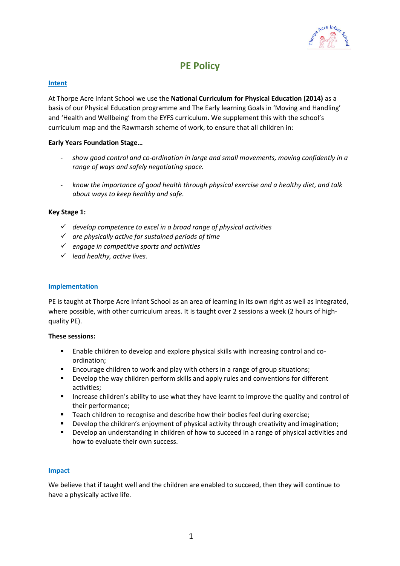

# **PE Policy**

## **Intent**

At Thorpe Acre Infant School we use the **National Curriculum for Physical Education (2014)** as a basis of our Physical Education programme and The Early learning Goals in 'Moving and Handling' and 'Health and Wellbeing' from the EYFS curriculum. We supplement this with the school's curriculum map and the Rawmarsh scheme of work, to ensure that all children in:

# **Early Years Foundation Stage…**

- *show good control and co-ordination in large and small movements, moving confidently in a range of ways and safely negotiating space.*
- *know the importance of good health through physical exercise and a healthy diet, and talk about ways to keep healthy and safe.*

## **Key Stage 1:**

- ✓ *develop competence to excel in a broad range of physical activities*
- ✓ *are physically active for sustained periods of time*
- ✓ *engage in competitive sports and activities*
- ✓ *lead healthy, active lives.*

# **Implementation**

PE is taught at Thorpe Acre Infant School as an area of learning in its own right as well as integrated, where possible, with other curriculum areas. It is taught over 2 sessions a week (2 hours of highquality PE).

## **These sessions:**

- Enable children to develop and explore physical skills with increasing control and coordination;
- Encourage children to work and play with others in a range of group situations;
- Develop the way children perform skills and apply rules and conventions for different activities;
- **■** Increase children's ability to use what they have learnt to improve the quality and control of their performance;
- Teach children to recognise and describe how their bodies feel during exercise;
- Develop the children's enjoyment of physical activity through creativity and imagination;
- Develop an understanding in children of how to succeed in a range of physical activities and how to evaluate their own success.

## **Impact**

We believe that if taught well and the children are enabled to succeed, then they will continue to have a physically active life.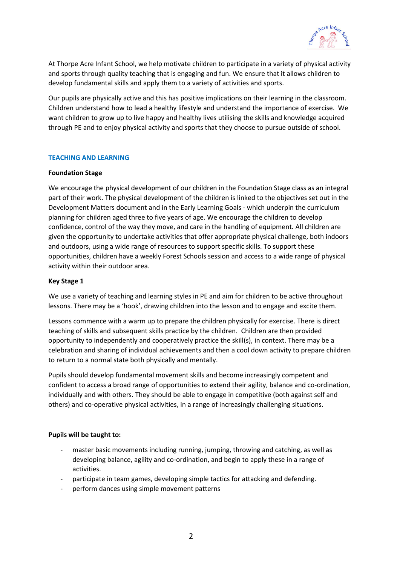

At Thorpe Acre Infant School, we help motivate children to participate in a variety of physical activity and sports through quality teaching that is engaging and fun. We ensure that it allows children to develop fundamental skills and apply them to a variety of activities and sports.

Our pupils are physically active and this has positive implications on their learning in the classroom. Children understand how to lead a healthy lifestyle and understand the importance of exercise. We want children to grow up to live happy and healthy lives utilising the skills and knowledge acquired through PE and to enjoy physical activity and sports that they choose to pursue outside of school.

## **TEACHING AND LEARNING**

## **Foundation Stage**

We encourage the physical development of our children in the Foundation Stage class as an integral part of their work. The physical development of the children is linked to the objectives set out in the Development Matters document and in the Early Learning Goals - which underpin the curriculum planning for children aged three to five years of age. We encourage the children to develop confidence, control of the way they move, and care in the handling of equipment. All children are given the opportunity to undertake activities that offer appropriate physical challenge, both indoors and outdoors, using a wide range of resources to support specific skills. To support these opportunities, children have a weekly Forest Schools session and access to a wide range of physical activity within their outdoor area.

### **Key Stage 1**

We use a variety of teaching and learning styles in PE and aim for children to be active throughout lessons. There may be a 'hook', drawing children into the lesson and to engage and excite them.

Lessons commence with a warm up to prepare the children physically for exercise. There is direct teaching of skills and subsequent skills practice by the children. Children are then provided opportunity to independently and cooperatively practice the skill(s), in context. There may be a celebration and sharing of individual achievements and then a cool down activity to prepare children to return to a normal state both physically and mentally.

Pupils should develop fundamental movement skills and become increasingly competent and confident to access a broad range of opportunities to extend their agility, balance and co-ordination, individually and with others. They should be able to engage in competitive (both against self and others) and co-operative physical activities, in a range of increasingly challenging situations.

## **Pupils will be taught to:**

- master basic movements including running, jumping, throwing and catching, as well as developing balance, agility and co-ordination, and begin to apply these in a range of activities.
- participate in team games, developing simple tactics for attacking and defending.
- perform dances using simple movement patterns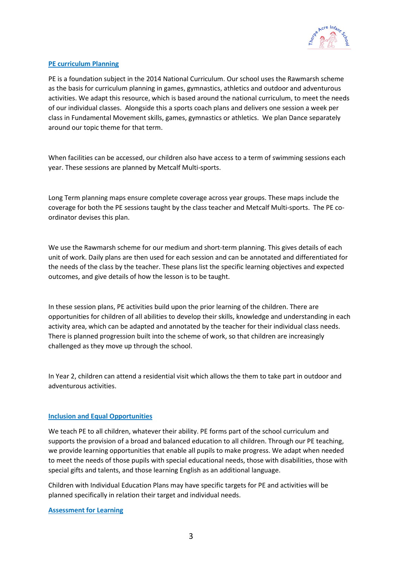

# **PE curriculum Planning**

PE is a foundation subject in the 2014 National Curriculum. Our school uses the Rawmarsh scheme as the basis for curriculum planning in games, gymnastics, athletics and outdoor and adventurous activities. We adapt this resource, which is based around the national curriculum, to meet the needs of our individual classes. Alongside this a sports coach plans and delivers one session a week per class in Fundamental Movement skills, games, gymnastics or athletics. We plan Dance separately around our topic theme for that term.

When facilities can be accessed, our children also have access to a term of swimming sessions each year. These sessions are planned by Metcalf Multi-sports.

Long Term planning maps ensure complete coverage across year groups. These maps include the coverage for both the PE sessions taught by the class teacher and Metcalf Multi-sports. The PE coordinator devises this plan.

We use the Rawmarsh scheme for our medium and short-term planning. This gives details of each unit of work. Daily plans are then used for each session and can be annotated and differentiated for the needs of the class by the teacher. These plans list the specific learning objectives and expected outcomes, and give details of how the lesson is to be taught.

In these session plans, PE activities build upon the prior learning of the children. There are opportunities for children of all abilities to develop their skills, knowledge and understanding in each activity area, which can be adapted and annotated by the teacher for their individual class needs. There is planned progression built into the scheme of work, so that children are increasingly challenged as they move up through the school.

In Year 2, children can attend a residential visit which allows the them to take part in outdoor and adventurous activities.

## **Inclusion and Equal Opportunities**

We teach PE to all children, whatever their ability. PE forms part of the school curriculum and supports the provision of a broad and balanced education to all children. Through our PE teaching, we provide learning opportunities that enable all pupils to make progress. We adapt when needed to meet the needs of those pupils with special educational needs, those with disabilities, those with special gifts and talents, and those learning English as an additional language.

Children with Individual Education Plans may have specific targets for PE and activities will be planned specifically in relation their target and individual needs.

# **Assessment for Learning**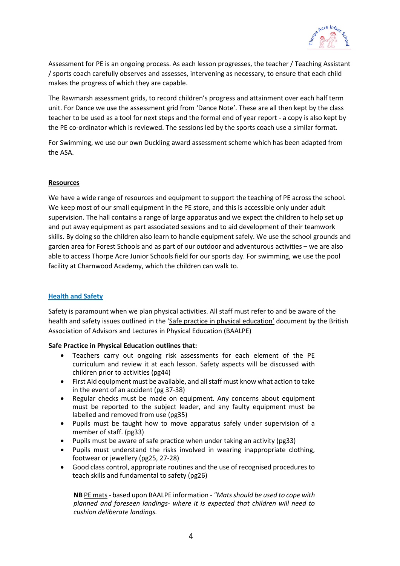

Assessment for PE is an ongoing process. As each lesson progresses, the teacher / Teaching Assistant / sports coach carefully observes and assesses, intervening as necessary, to ensure that each child makes the progress of which they are capable.

The Rawmarsh assessment grids, to record children's progress and attainment over each half term unit. For Dance we use the assessment grid from 'Dance Note'. These are all then kept by the class teacher to be used as a tool for next steps and the formal end of year report - a copy is also kept by the PE co-ordinator which is reviewed. The sessions led by the sports coach use a similar format.

For Swimming, we use our own Duckling award assessment scheme which has been adapted from the ASA.

## **Resources**

We have a wide range of resources and equipment to support the teaching of PE across the school. We keep most of our small equipment in the PE store, and this is accessible only under adult supervision. The hall contains a range of large apparatus and we expect the children to help set up and put away equipment as part associated sessions and to aid development of their teamwork skills. By doing so the children also learn to handle equipment safely. We use the school grounds and garden area for Forest Schools and as part of our outdoor and adventurous activities – we are also able to access Thorpe Acre Junior Schools field for our sports day. For swimming, we use the pool facility at Charnwood Academy, which the children can walk to.

## **Health and Safety**

Safety is paramount when we plan physical activities. All staff must refer to and be aware of the health and safety issues outlined in the 'Safe practice in physical education' document by the British Association of Advisors and Lectures in Physical Education (BAALPE)

#### **Safe Practice in Physical Education outlines that:**

- Teachers carry out ongoing risk assessments for each element of the PE curriculum and review it at each lesson. Safety aspects will be discussed with children prior to activities (pg44)
- First Aid equipment must be available, and all staff must know what action to take in the event of an accident (pg 37-38)
- Regular checks must be made on equipment. Any concerns about equipment must be reported to the subject leader, and any faulty equipment must be labelled and removed from use (pg35)
- Pupils must be taught how to move apparatus safely under supervision of a member of staff. (pg33)
- Pupils must be aware of safe practice when under taking an activity (pg33)
- Pupils must understand the risks involved in wearing inappropriate clothing, footwear or jewellery (pg25, 27-28)
- Good class control, appropriate routines and the use of recognised procedures to teach skills and fundamental to safety (pg26)

**NB** PE mats- based upon BAALPE information *- "Mats should be used to cope with planned and foreseen landings- where it is expected that children will need to cushion deliberate landings.*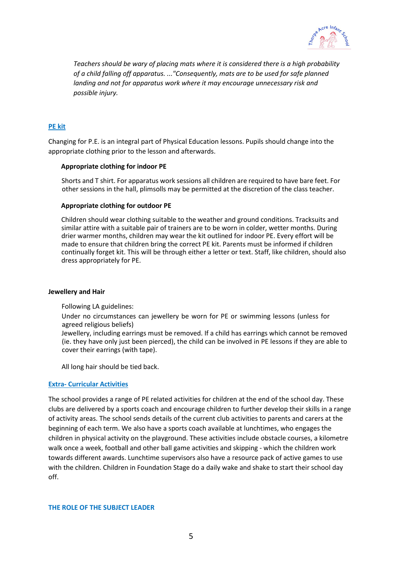

*Teachers should be wary of placing mats where it is considered there is a high probability of a child falling off apparatus. ..."Consequently, mats are to be used for safe planned landing and not for apparatus work where it may encourage unnecessary risk and possible injury.*

## **PE kit**

Changing for P.E. is an integral part of Physical Education lessons. Pupils should change into the appropriate clothing prior to the lesson and afterwards.

#### **Appropriate clothing for indoor PE**

Shorts and T shirt. For apparatus work sessions all children are required to have bare feet. For other sessions in the hall, plimsolls may be permitted at the discretion of the class teacher.

### **Appropriate clothing for outdoor PE**

Children should wear clothing suitable to the weather and ground conditions. Tracksuits and similar attire with a suitable pair of trainers are to be worn in colder, wetter months. During drier warmer months, children may wear the kit outlined for indoor PE. Every effort will be made to ensure that children bring the correct PE kit. Parents must be informed if children continually forget kit. This will be through either a letter or text. Staff, like children, should also dress appropriately for PE.

### **Jewellery and Hair**

Following LA guidelines:

Under no circumstances can jewellery be worn for PE or swimming lessons (unless for agreed religious beliefs)

Jewellery, including earrings must be removed. If a child has earrings which cannot be removed (ie. they have only just been pierced), the child can be involved in PE lessons if they are able to cover their earrings (with tape).

All long hair should be tied back.

## **Extra- Curricular Activities**

The school provides a range of PE related activities for children at the end of the school day. These clubs are delivered by a sports coach and encourage children to further develop their skills in a range of activity areas. The school sends details of the current club activities to parents and carers at the beginning of each term. We also have a sports coach available at lunchtimes, who engages the children in physical activity on the playground. These activities include obstacle courses, a kilometre walk once a week, football and other ball game activities and skipping - which the children work towards different awards. Lunchtime supervisors also have a resource pack of active games to use with the children. Children in Foundation Stage do a daily wake and shake to start their school day off.

#### **THE ROLE OF THE SUBJECT LEADER**